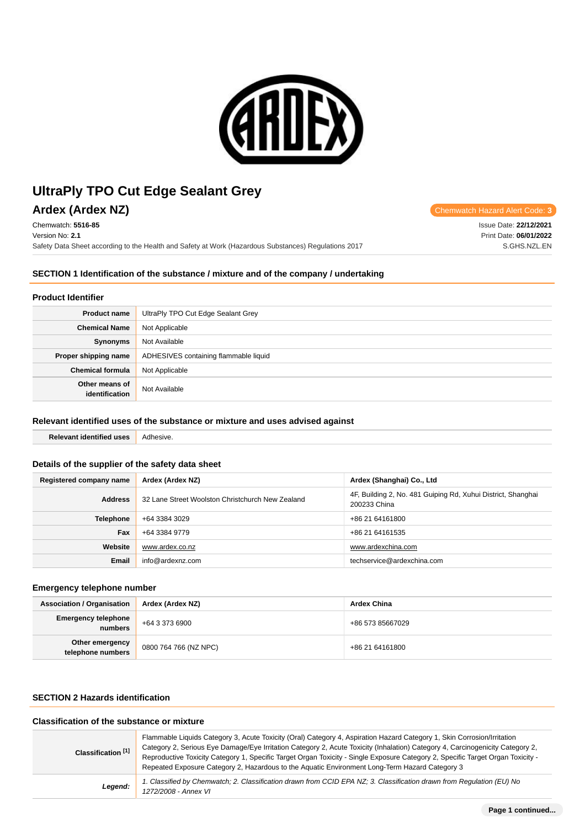

# Ardex (Ardex N7)

| AIUGA (AIUGA IVA)                                                                                    | - Chemwatch Hazard Alent Code. 3 |
|------------------------------------------------------------------------------------------------------|----------------------------------|
| Chemwatch: 5516-85                                                                                   | Issue Date: 22/12/2021           |
| Version No: <b>2.1</b>                                                                               | Print Date: 06/01/2022           |
| Safety Data Sheet according to the Health and Safety at Work (Hazardous Substances) Regulations 2017 | S.GHS.NZL.EN                     |

# **SECTION 1 Identification of the substance / mixture and of the company / undertaking**

### **Product Identifier**

| <b>Product name</b>              | UltraPly TPO Cut Edge Sealant Grey    |  |
|----------------------------------|---------------------------------------|--|
| <b>Chemical Name</b>             | Not Applicable                        |  |
| Synonyms                         | Not Available                         |  |
| Proper shipping name             | ADHESIVES containing flammable liquid |  |
| <b>Chemical formula</b>          | Not Applicable                        |  |
| Other means of<br>identification | Not Available                         |  |

# **Relevant identified uses of the substance or mixture and uses advised against**

**Relevant identified uses** Adhesive.

# **Details of the supplier of the safety data sheet**

| Registered company name | Ardex (Ardex NZ)                                 | Ardex (Shanghai) Co., Ltd                                                    |
|-------------------------|--------------------------------------------------|------------------------------------------------------------------------------|
| <b>Address</b>          | 32 Lane Street Woolston Christchurch New Zealand | 4F, Building 2, No. 481 Guiping Rd, Xuhui District, Shanghai<br>200233 China |
| <b>Telephone</b>        | +64 3384 3029                                    | +86 21 64161800                                                              |
| Fax                     | +64 3384 9779                                    | +86 21 64161535                                                              |
| Website                 | www.ardex.co.nz                                  | www.ardexchina.com                                                           |
| <b>Email</b>            | info@ardexnz.com                                 | techservice@ardexchina.com                                                   |

### **Emergency telephone number**

| <b>Association / Organisation</b>     | Ardex (Ardex NZ)      | <b>Ardex China</b> |
|---------------------------------------|-----------------------|--------------------|
| <b>Emergency telephone</b><br>numbers | +64 3 373 6900        | +86 573 85667029   |
| Other emergency<br>telephone numbers  | 0800 764 766 (NZ NPC) | +86 21 64161800    |

### **SECTION 2 Hazards identification**

### **Classification of the substance or mixture**

| Classification [1] | Flammable Liquids Category 3, Acute Toxicity (Oral) Category 4, Aspiration Hazard Category 1, Skin Corrosion/Irritation<br>Category 2, Serious Eye Damage/Eye Irritation Category 2, Acute Toxicity (Inhalation) Category 4, Carcinogenicity Category 2,<br>Reproductive Toxicity Category 1, Specific Target Organ Toxicity - Single Exposure Category 2, Specific Target Organ Toxicity -<br>Repeated Exposure Category 2, Hazardous to the Aquatic Environment Long-Term Hazard Category 3 |
|--------------------|-----------------------------------------------------------------------------------------------------------------------------------------------------------------------------------------------------------------------------------------------------------------------------------------------------------------------------------------------------------------------------------------------------------------------------------------------------------------------------------------------|
| Legend:            | 1. Classified by Chemwatch; 2. Classification drawn from CCID EPA NZ; 3. Classification drawn from Regulation (EU) No<br>1272/2008 - Annex VI                                                                                                                                                                                                                                                                                                                                                 |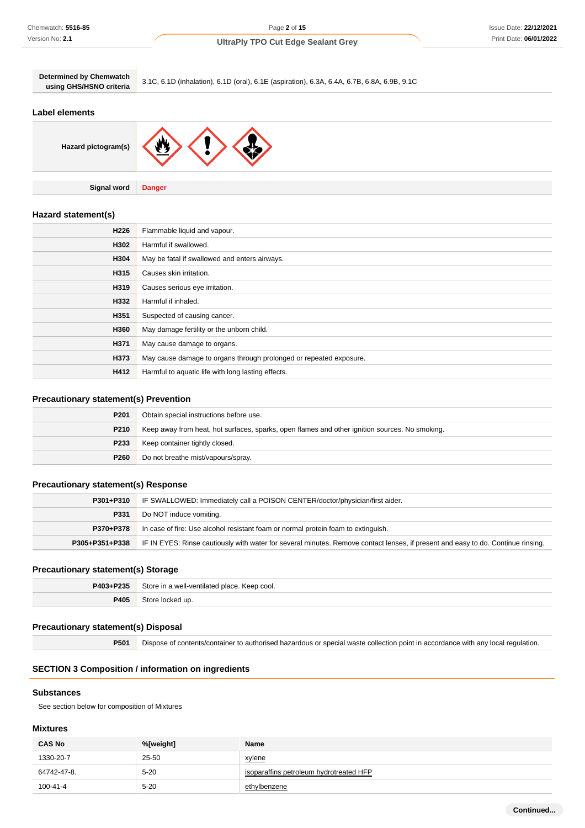| <b>Determined by Chemwatch</b><br>using GHS/HSNO criteria | 3.1C, 6.1D (inhalation), 6.1D (oral), 6.1E (aspiration), 6.3A, 6.4A, 6.7B, 6.8A, 6.9B, 9.1C |
|-----------------------------------------------------------|---------------------------------------------------------------------------------------------|
| Label elements                                            |                                                                                             |

**Hazard pictogram(s)**

**Signal word Danger**

# **Hazard statement(s)**

| H <sub>226</sub> | Flammable liquid and vapour.                                       |
|------------------|--------------------------------------------------------------------|
| H302             | Harmful if swallowed.                                              |
| H304             | May be fatal if swallowed and enters airways.                      |
| H315             | Causes skin irritation.                                            |
| H319             | Causes serious eye irritation.                                     |
| H332             | Harmful if inhaled.                                                |
| H351             | Suspected of causing cancer.                                       |
| H360             | May damage fertility or the unborn child.                          |
| H371             | May cause damage to organs.                                        |
| H373             | May cause damage to organs through prolonged or repeated exposure. |
| H412             | Harmful to aquatic life with long lasting effects.                 |

### **Precautionary statement(s) Prevention**

| P <sub>201</sub> | Obtain special instructions before use.                                                        |
|------------------|------------------------------------------------------------------------------------------------|
| P210             | Keep away from heat, hot surfaces, sparks, open flames and other ignition sources. No smoking. |
| P233             | Keep container tightly closed.                                                                 |
| P <sub>260</sub> | Do not breathe mist/vapours/spray.                                                             |

### **Precautionary statement(s) Response**

| P301+P310      | IF SWALLOWED: Immediately call a POISON CENTER/doctor/physician/first aider.                                                     |  |
|----------------|----------------------------------------------------------------------------------------------------------------------------------|--|
| P331           | Do NOT induce vomiting.                                                                                                          |  |
| P370+P378      | In case of fire: Use alcohol resistant foam or normal protein foam to extinguish.                                                |  |
| P305+P351+P338 | IF IN EYES: Rinse cautiously with water for several minutes. Remove contact lenses, if present and easy to do. Continue rinsing. |  |

### **Precautionary statement(s) Storage**

| P403+P235 | Store in a well-ventilated place. Keep cool. |
|-----------|----------------------------------------------|
| 2405      | ocked up.                                    |

### **Precautionary statement(s) Disposal**

**P501** Dispose of contents/container to authorised hazardous or special waste collection point in accordance with any local regulation.

# **SECTION 3 Composition / information on ingredients**

#### **Substances**

See section below for composition of Mixtures

# **Mixtures**

| <b>CAS No</b> | %[weight] | Name                                    |
|---------------|-----------|-----------------------------------------|
| 1330-20-7     | 25-50     | xylene                                  |
| 64742-47-8.   | $5 - 20$  | isoparaffins petroleum hydrotreated HFP |
| 100-41-4      | $5 - 20$  | ethylbenzene                            |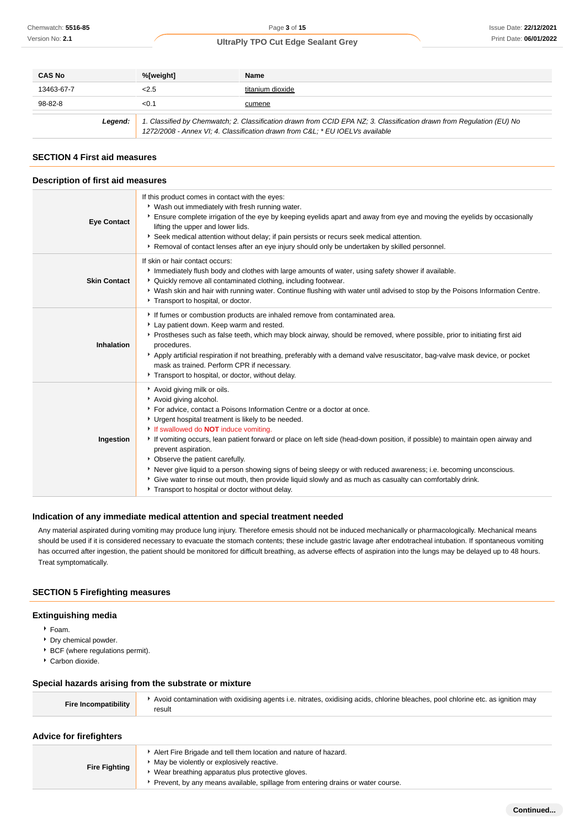| <b>CAS No</b>                                                                                                                                                                                                    | %[weight] | Name             |
|------------------------------------------------------------------------------------------------------------------------------------------------------------------------------------------------------------------|-----------|------------------|
| 13463-67-7                                                                                                                                                                                                       | 2.5       | titanium dioxide |
| 98-82-8                                                                                                                                                                                                          | <0.1      | cumene           |
| 1. Classified by Chemwatch; 2. Classification drawn from CCID EPA NZ; 3. Classification drawn from Regulation (EU) No<br>Legend:<br>1272/2008 - Annex VI; 4. Classification drawn from C&L * EU IOELVs available |           |                  |

### **SECTION 4 First aid measures**

### **Description of first aid measures**

| <b>Eye Contact</b>  | If this product comes in contact with the eyes:<br>* Wash out immediately with fresh running water.<br>▶ Ensure complete irrigation of the eye by keeping eyelids apart and away from eye and moving the eyelids by occasionally<br>lifting the upper and lower lids.                                                                                                                                                                                                                                                                                                                                                                                                                                                |
|---------------------|----------------------------------------------------------------------------------------------------------------------------------------------------------------------------------------------------------------------------------------------------------------------------------------------------------------------------------------------------------------------------------------------------------------------------------------------------------------------------------------------------------------------------------------------------------------------------------------------------------------------------------------------------------------------------------------------------------------------|
|                     | ▶ Seek medical attention without delay; if pain persists or recurs seek medical attention.<br>► Removal of contact lenses after an eye injury should only be undertaken by skilled personnel.                                                                                                                                                                                                                                                                                                                                                                                                                                                                                                                        |
| <b>Skin Contact</b> | If skin or hair contact occurs:<br>Immediately flush body and clothes with large amounts of water, using safety shower if available.<br>• Quickly remove all contaminated clothing, including footwear.<br>▶ Wash skin and hair with running water. Continue flushing with water until advised to stop by the Poisons Information Centre.<br>Transport to hospital, or doctor.                                                                                                                                                                                                                                                                                                                                       |
| <b>Inhalation</b>   | If fumes or combustion products are inhaled remove from contaminated area.<br>Lay patient down. Keep warm and rested.<br>Prostheses such as false teeth, which may block airway, should be removed, where possible, prior to initiating first aid<br>procedures.<br>Apply artificial respiration if not breathing, preferably with a demand valve resuscitator, bag-valve mask device, or pocket<br>mask as trained. Perform CPR if necessary.<br>Transport to hospital, or doctor, without delay.                                                                                                                                                                                                                   |
| Ingestion           | Avoid giving milk or oils.<br>Avoid giving alcohol.<br>▶ For advice, contact a Poisons Information Centre or a doctor at once.<br>* Urgent hospital treatment is likely to be needed.<br>If swallowed do <b>NOT</b> induce vomiting.<br>If vomiting occurs, lean patient forward or place on left side (head-down position, if possible) to maintain open airway and<br>prevent aspiration.<br>• Observe the patient carefully.<br>▶ Never give liquid to a person showing signs of being sleepy or with reduced awareness; i.e. becoming unconscious.<br>Give water to rinse out mouth, then provide liquid slowly and as much as casualty can comfortably drink.<br>Transport to hospital or doctor without delay. |

### **Indication of any immediate medical attention and special treatment needed**

Any material aspirated during vomiting may produce lung injury. Therefore emesis should not be induced mechanically or pharmacologically. Mechanical means should be used if it is considered necessary to evacuate the stomach contents; these include gastric lavage after endotracheal intubation. If spontaneous vomiting has occurred after ingestion, the patient should be monitored for difficult breathing, as adverse effects of aspiration into the lungs may be delayed up to 48 hours. Treat symptomatically.

### **SECTION 5 Firefighting measures**

#### **Extinguishing media**

- Foam.
- **Dry chemical powder.**
- **BCF** (where regulations permit).
- Carbon dioxide.

### **Special hazards arising from the substrate or mixture**

| <b>Fire Incompatibility</b> | Avoid contamination with oxidising agents i.e. nitrates, oxidising acids, chlorine bleaches, pool chlorine etc. as ignition may<br>result |
|-----------------------------|-------------------------------------------------------------------------------------------------------------------------------------------|
|-----------------------------|-------------------------------------------------------------------------------------------------------------------------------------------|

### **Advice for firefighters**

| <b>Fire Fighting</b> | Alert Fire Brigade and tell them location and nature of hazard.<br>May be violently or explosively reactive.<br>• Wear breathing apparatus plus protective gloves.<br>Prevent, by any means available, spillage from entering drains or water course. |
|----------------------|-------------------------------------------------------------------------------------------------------------------------------------------------------------------------------------------------------------------------------------------------------|
|----------------------|-------------------------------------------------------------------------------------------------------------------------------------------------------------------------------------------------------------------------------------------------------|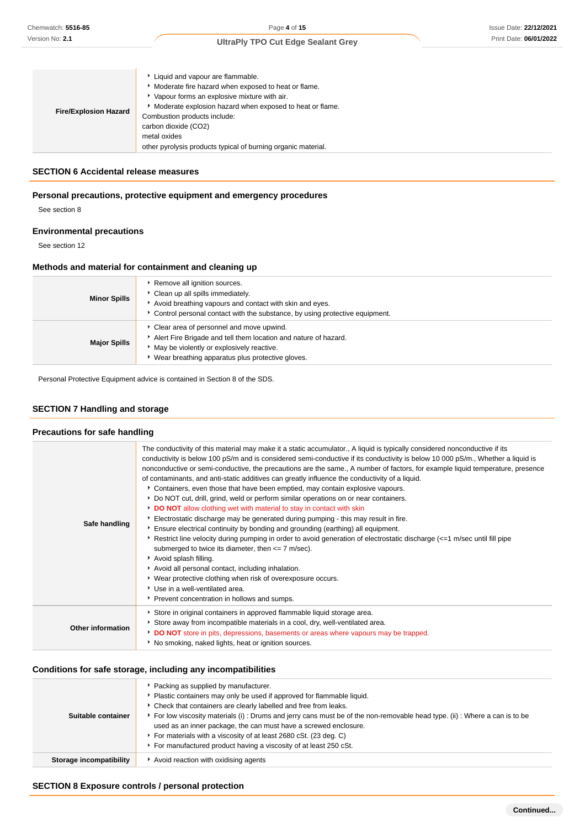| Moderate fire hazard when exposed to heat or flame.<br>Vapour forms an explosive mixture with air.<br>Moderate explosion hazard when exposed to heat or flame.<br><b>Fire/Explosion Hazard</b><br>Combustion products include:<br>carbon dioxide (CO2)<br>metal oxides<br>other pyrolysis products typical of burning organic material. |  |  |
|-----------------------------------------------------------------------------------------------------------------------------------------------------------------------------------------------------------------------------------------------------------------------------------------------------------------------------------------|--|--|
|-----------------------------------------------------------------------------------------------------------------------------------------------------------------------------------------------------------------------------------------------------------------------------------------------------------------------------------------|--|--|

### **SECTION 6 Accidental release measures**

#### **Personal precautions, protective equipment and emergency procedures**

See section 8

### **Environmental precautions**

See section 12

### **Methods and material for containment and cleaning up**

| <b>Minor Spills</b> | Remove all ignition sources.<br>Clean up all spills immediately.<br>Avoid breathing vapours and contact with skin and eyes.<br>Control personal contact with the substance, by using protective equipment.     |
|---------------------|----------------------------------------------------------------------------------------------------------------------------------------------------------------------------------------------------------------|
| <b>Major Spills</b> | • Clear area of personnel and move upwind.<br>Alert Fire Brigade and tell them location and nature of hazard.<br>May be violently or explosively reactive.<br>Wear breathing apparatus plus protective gloves. |

Personal Protective Equipment advice is contained in Section 8 of the SDS.

# **SECTION 7 Handling and storage**

#### **Precautions for safe handling**

| Safe handling            | The conductivity of this material may make it a static accumulator., A liquid is typically considered nonconductive if its<br>conductivity is below 100 pS/m and is considered semi-conductive if its conductivity is below 10 000 pS/m., Whether a liquid is<br>nonconductive or semi-conductive, the precautions are the same., A number of factors, for example liquid temperature, presence<br>of contaminants, and anti-static additives can greatly influence the conductivity of a liquid.<br>Containers, even those that have been emptied, may contain explosive vapours.<br>▶ Do NOT cut, drill, grind, weld or perform similar operations on or near containers.<br>DO NOT allow clothing wet with material to stay in contact with skin<br>Electrostatic discharge may be generated during pumping - this may result in fire.<br>Ensure electrical continuity by bonding and grounding (earthing) all equipment.<br>Restrict line velocity during pumping in order to avoid generation of electrostatic discharge (<=1 m/sec until fill pipe<br>submerged to twice its diameter, then $\leq$ 7 m/sec).<br>Avoid splash filling.<br>Avoid all personal contact, including inhalation.<br>▶ Wear protective clothing when risk of overexposure occurs.<br>Use in a well-ventilated area.<br>Prevent concentration in hollows and sumps. |
|--------------------------|---------------------------------------------------------------------------------------------------------------------------------------------------------------------------------------------------------------------------------------------------------------------------------------------------------------------------------------------------------------------------------------------------------------------------------------------------------------------------------------------------------------------------------------------------------------------------------------------------------------------------------------------------------------------------------------------------------------------------------------------------------------------------------------------------------------------------------------------------------------------------------------------------------------------------------------------------------------------------------------------------------------------------------------------------------------------------------------------------------------------------------------------------------------------------------------------------------------------------------------------------------------------------------------------------------------------------------------------------|
| <b>Other information</b> | Store in original containers in approved flammable liquid storage area.<br>Store away from incompatible materials in a cool, dry, well-ventilated area.<br>DO NOT store in pits, depressions, basements or areas where vapours may be trapped.<br>No smoking, naked lights, heat or ignition sources.                                                                                                                                                                                                                                                                                                                                                                                                                                                                                                                                                                                                                                                                                                                                                                                                                                                                                                                                                                                                                                             |

#### **Conditions for safe storage, including any incompatibilities**

| Suitable container      | ▶ Packing as supplied by manufacturer.<br>Plastic containers may only be used if approved for flammable liquid.<br>• Check that containers are clearly labelled and free from leaks.<br>For low viscosity materials (i): Drums and jerry cans must be of the non-removable head type. (ii): Where a can is to be<br>used as an inner package, the can must have a screwed enclosure.<br>For materials with a viscosity of at least 2680 cSt. (23 deg. C)<br>For manufactured product having a viscosity of at least 250 cSt. |
|-------------------------|------------------------------------------------------------------------------------------------------------------------------------------------------------------------------------------------------------------------------------------------------------------------------------------------------------------------------------------------------------------------------------------------------------------------------------------------------------------------------------------------------------------------------|
| Storage incompatibility | Avoid reaction with oxidising agents                                                                                                                                                                                                                                                                                                                                                                                                                                                                                         |

#### **SECTION 8 Exposure controls / personal protection**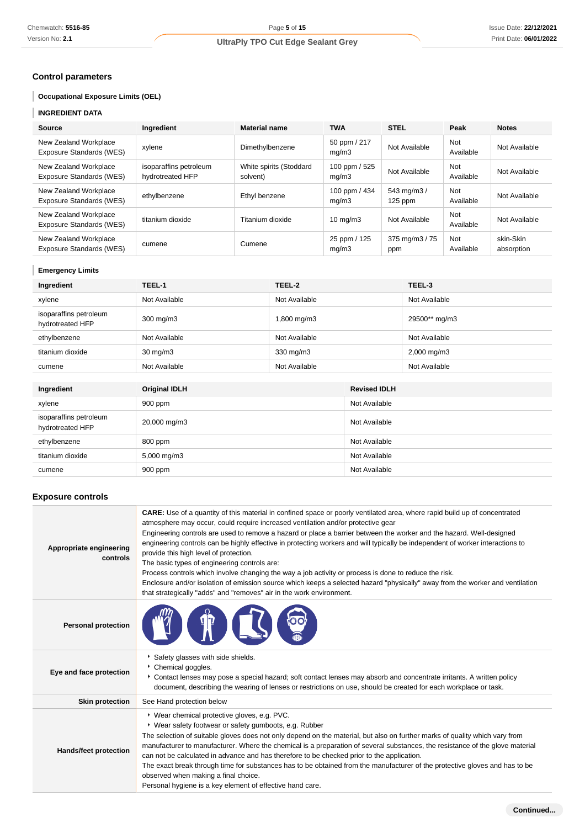# **Control parameters**

# **Occupational Exposure Limits (OEL)**

# **INGREDIENT DATA**

| Source                                            | Ingredient                                 | <b>Material name</b>                | <b>TWA</b>             | <b>STEL</b>             | Peak             | <b>Notes</b>            |
|---------------------------------------------------|--------------------------------------------|-------------------------------------|------------------------|-------------------------|------------------|-------------------------|
| New Zealand Workplace<br>Exposure Standards (WES) | xylene                                     | Dimethylbenzene                     | 50 ppm / 217<br>mq/m3  | Not Available           | Not<br>Available | Not Available           |
| New Zealand Workplace<br>Exposure Standards (WES) | isoparaffins petroleum<br>hydrotreated HFP | White spirits (Stoddard<br>solvent) | 100 ppm / 525<br>mq/m3 | Not Available           | Not<br>Available | Not Available           |
| New Zealand Workplace<br>Exposure Standards (WES) | ethylbenzene                               | Ethyl benzene                       | 100 ppm / 434<br>mq/m3 | 543 mg/m3/<br>$125$ ppm | Not<br>Available | Not Available           |
| New Zealand Workplace<br>Exposure Standards (WES) | titanium dioxide                           | Titanium dioxide                    | $10 \text{ mg/m}$      | Not Available           | Not<br>Available | Not Available           |
| New Zealand Workplace<br>Exposure Standards (WES) | cumene                                     | Cumene                              | 25 ppm / 125<br>mq/m3  | 375 mg/m3 / 75<br>ppm   | Not<br>Available | skin-Skin<br>absorption |

### **Emergency Limits**

| Ingredient                                 | TEEL-1               | TEEL-2        |                     | TEEL-3        |
|--------------------------------------------|----------------------|---------------|---------------------|---------------|
| xylene                                     | Not Available        | Not Available |                     | Not Available |
| isoparaffins petroleum<br>hydrotreated HFP | 300 mg/m3            | 1,800 mg/m3   |                     | 29500** mg/m3 |
| ethylbenzene                               | Not Available        | Not Available |                     | Not Available |
| titanium dioxide                           | $30 \text{ mg/m}$    | 330 mg/m3     |                     | 2,000 mg/m3   |
| cumene                                     | Not Available        | Not Available |                     | Not Available |
|                                            |                      |               |                     |               |
| Ingredient                                 | <b>Original IDLH</b> |               | <b>Revised IDLH</b> |               |
| xylene                                     | 900 ppm              | Not Available |                     |               |

| xylene                                     | <b>900 ppm</b>          | NOT AVAIIADIE |
|--------------------------------------------|-------------------------|---------------|
| isoparaffins petroleum<br>hydrotreated HFP | 20,000 mg/m3            | Not Available |
| ethylbenzene                               | 800 ppm                 | Not Available |
| titanium dioxide                           | $5,000 \,\mathrm{mg/m}$ | Not Available |
| cumene                                     | 900 ppm                 | Not Available |

# **Exposure controls**

| Appropriate engineering<br>controls | <b>CARE:</b> Use of a quantity of this material in confined space or poorly ventilated area, where rapid build up of concentrated<br>atmosphere may occur, could require increased ventilation and/or protective gear<br>Engineering controls are used to remove a hazard or place a barrier between the worker and the hazard. Well-designed<br>engineering controls can be highly effective in protecting workers and will typically be independent of worker interactions to<br>provide this high level of protection.<br>The basic types of engineering controls are:<br>Process controls which involve changing the way a job activity or process is done to reduce the risk.<br>Enclosure and/or isolation of emission source which keeps a selected hazard "physically" away from the worker and ventilation<br>that strategically "adds" and "removes" air in the work environment. |
|-------------------------------------|---------------------------------------------------------------------------------------------------------------------------------------------------------------------------------------------------------------------------------------------------------------------------------------------------------------------------------------------------------------------------------------------------------------------------------------------------------------------------------------------------------------------------------------------------------------------------------------------------------------------------------------------------------------------------------------------------------------------------------------------------------------------------------------------------------------------------------------------------------------------------------------------|
| <b>Personal protection</b>          |                                                                                                                                                                                                                                                                                                                                                                                                                                                                                                                                                                                                                                                                                                                                                                                                                                                                                             |
| Eye and face protection             | Safety glasses with side shields.<br>Chemical goggles.<br>Contact lenses may pose a special hazard; soft contact lenses may absorb and concentrate irritants. A written policy<br>document, describing the wearing of lenses or restrictions on use, should be created for each workplace or task.                                                                                                                                                                                                                                                                                                                                                                                                                                                                                                                                                                                          |
| <b>Skin protection</b>              | See Hand protection below                                                                                                                                                                                                                                                                                                                                                                                                                                                                                                                                                                                                                                                                                                                                                                                                                                                                   |
| Hands/feet protection               | * Wear chemical protective gloves, e.g. PVC.<br>• Wear safety footwear or safety gumboots, e.g. Rubber<br>The selection of suitable gloves does not only depend on the material, but also on further marks of quality which vary from<br>manufacturer to manufacturer. Where the chemical is a preparation of several substances, the resistance of the glove material<br>can not be calculated in advance and has therefore to be checked prior to the application.<br>The exact break through time for substances has to be obtained from the manufacturer of the protective gloves and has to be<br>observed when making a final choice.<br>Personal hygiene is a key element of effective hand care.                                                                                                                                                                                    |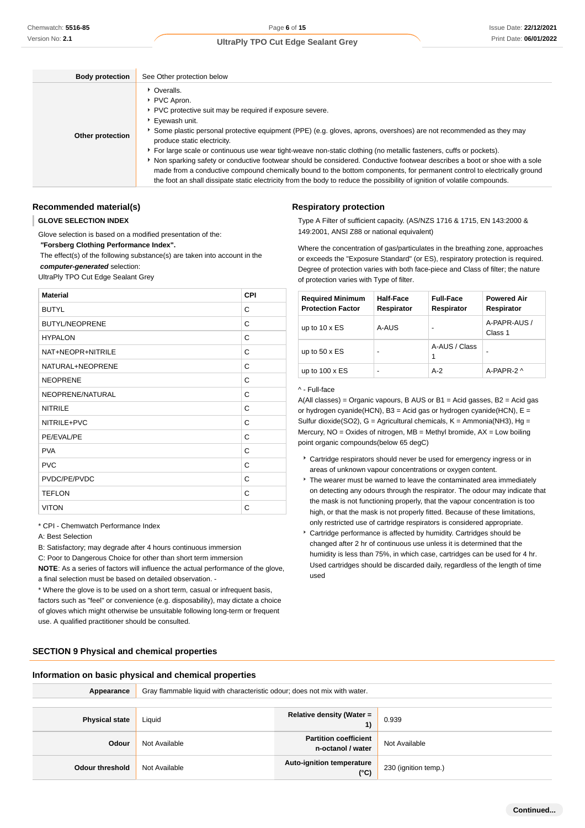| <b>Body protection</b> | See Other protection below                                                                                                                                                                                                                                                                                                                                                                                                                                                                                                                                                                                                                                                                                                                                          |
|------------------------|---------------------------------------------------------------------------------------------------------------------------------------------------------------------------------------------------------------------------------------------------------------------------------------------------------------------------------------------------------------------------------------------------------------------------------------------------------------------------------------------------------------------------------------------------------------------------------------------------------------------------------------------------------------------------------------------------------------------------------------------------------------------|
| Other protection       | • Overalls.<br>PVC Apron.<br>PVC protective suit may be required if exposure severe.<br>Eyewash unit.<br>Some plastic personal protective equipment (PPE) (e.g. gloves, aprons, overshoes) are not recommended as they may<br>produce static electricity.<br>For large scale or continuous use wear tight-weave non-static clothing (no metallic fasteners, cuffs or pockets).<br>Non sparking safety or conductive footwear should be considered. Conductive footwear describes a boot or shoe with a sole<br>made from a conductive compound chemically bound to the bottom components, for permanent control to electrically ground<br>the foot an shall dissipate static electricity from the body to reduce the possibility of ignition of volatile compounds. |

### **Recommended material(s)**

#### **GLOVE SELECTION INDEX**

Glove selection is based on a modified presentation of the:

 **"Forsberg Clothing Performance Index".**

 The effect(s) of the following substance(s) are taken into account in the **computer-generated** selection:

UltraPly TPO Cut Edge Sealant Grey

| <b>Material</b>       | <b>CPI</b> |
|-----------------------|------------|
| <b>BUTYL</b>          | C          |
| <b>BUTYL/NEOPRENE</b> | C          |
| <b>HYPALON</b>        | C          |
| NAT+NEOPR+NITRILE     | C          |
| NATURAL+NEOPRENE      | C          |
| <b>NEOPRENE</b>       | C          |
| NEOPRENE/NATURAL      | C          |
| <b>NITRILE</b>        | C          |
| NITRILE+PVC           | C          |
| PE/EVAL/PE            | C          |
| <b>PVA</b>            | C          |
| <b>PVC</b>            | C          |
| PVDC/PE/PVDC          | C          |
| <b>TEFLON</b>         | C          |
| <b>VITON</b>          | C          |

\* CPI - Chemwatch Performance Index

A: Best Selection

B: Satisfactory; may degrade after 4 hours continuous immersion

C: Poor to Dangerous Choice for other than short term immersion

**NOTE**: As a series of factors will influence the actual performance of the glove, a final selection must be based on detailed observation. -

\* Where the glove is to be used on a short term, casual or infrequent basis, factors such as "feel" or convenience (e.g. disposability), may dictate a choice of gloves which might otherwise be unsuitable following long-term or frequent use. A qualified practitioner should be consulted.

#### **Respiratory protection**

Type A Filter of sufficient capacity. (AS/NZS 1716 & 1715, EN 143:2000 & 149:2001, ANSI Z88 or national equivalent)

Where the concentration of gas/particulates in the breathing zone, approaches or exceeds the "Exposure Standard" (or ES), respiratory protection is required. Degree of protection varies with both face-piece and Class of filter; the nature of protection varies with Type of filter.

| <b>Required Minimum</b><br><b>Protection Factor</b> | Half-Face<br>Respirator | <b>Full-Face</b><br>Respirator | <b>Powered Air</b><br>Respirator |
|-----------------------------------------------------|-------------------------|--------------------------------|----------------------------------|
| up to $10 \times ES$                                | A-AUS                   |                                | A-PAPR-AUS /<br>Class 1          |
| up to $50 \times ES$                                | -                       | A-AUS / Class<br>1             |                                  |
| up to $100 \times ES$                               | -                       | $A-2$                          | A-PAPR-2 $\wedge$                |

#### ^ - Full-face

A(All classes) = Organic vapours, B AUS or B1 = Acid gasses, B2 = Acid gas or hydrogen cyanide(HCN),  $B3 = Acid$  gas or hydrogen cyanide(HCN),  $E =$ Sulfur dioxide(SO2),  $G =$  Agricultural chemicals,  $K =$  Ammonia(NH3), Hg = Mercury, NO = Oxides of nitrogen, MB = Methyl bromide, AX = Low boiling point organic compounds(below 65 degC)

- Cartridge respirators should never be used for emergency ingress or in areas of unknown vapour concentrations or oxygen content.
- The wearer must be warned to leave the contaminated area immediately on detecting any odours through the respirator. The odour may indicate that the mask is not functioning properly, that the vapour concentration is too high, or that the mask is not properly fitted. Because of these limitations, only restricted use of cartridge respirators is considered appropriate.
- Cartridge performance is affected by humidity. Cartridges should be changed after 2 hr of continuous use unless it is determined that the humidity is less than 75%, in which case, cartridges can be used for 4 hr. Used cartridges should be discarded daily, regardless of the length of time used

# **SECTION 9 Physical and chemical properties**

#### **Information on basic physical and chemical properties**

| Appearance             | Gray flammable liquid with characteristic odour; does not mix with water. |                                                   |                      |
|------------------------|---------------------------------------------------------------------------|---------------------------------------------------|----------------------|
|                        |                                                                           |                                                   |                      |
| <b>Physical state</b>  | Liquid                                                                    | <b>Relative density (Water =</b><br>1)            | 0.939                |
| Odour                  | Not Available                                                             | <b>Partition coefficient</b><br>n-octanol / water | Not Available        |
| <b>Odour threshold</b> | Not Available                                                             | Auto-ignition temperature<br>$(^{\circ}C)$        | 230 (ignition temp.) |

**Continued...**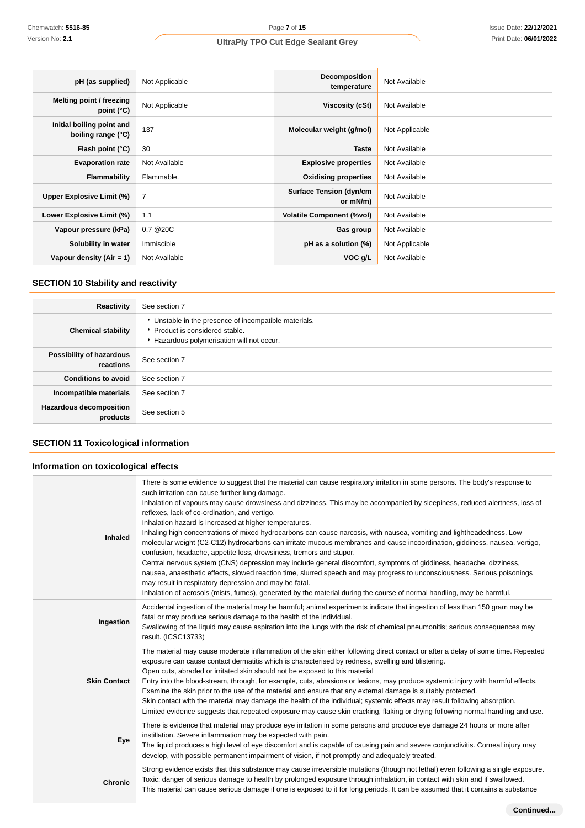| pH (as supplied)                                | Not Applicable | Decomposition<br>temperature               | Not Available  |
|-------------------------------------------------|----------------|--------------------------------------------|----------------|
| Melting point / freezing<br>point $(^{\circ}C)$ | Not Applicable | Viscosity (cSt)                            | Not Available  |
| Initial boiling point and<br>boiling range (°C) | 137            | Molecular weight (g/mol)                   | Not Applicable |
| Flash point (°C)                                | 30             | <b>Taste</b>                               | Not Available  |
| <b>Evaporation rate</b>                         | Not Available  | <b>Explosive properties</b>                | Not Available  |
| <b>Flammability</b>                             | Flammable.     | <b>Oxidising properties</b>                | Not Available  |
| Upper Explosive Limit (%)                       | $\overline{7}$ | <b>Surface Tension (dyn/cm</b><br>or mN/m) | Not Available  |
| Lower Explosive Limit (%)                       | 1.1            | <b>Volatile Component (%vol)</b>           | Not Available  |
| Vapour pressure (kPa)                           | 0.7 @ 20C      | Gas group                                  | Not Available  |
| Solubility in water                             | Immiscible     | pH as a solution (%)                       | Not Applicable |
| Vapour density $(Air = 1)$                      | Not Available  | VOC g/L                                    | Not Available  |

# **SECTION 10 Stability and reactivity**

| Reactivity                                 | See section 7                                                                                                                        |
|--------------------------------------------|--------------------------------------------------------------------------------------------------------------------------------------|
| <b>Chemical stability</b>                  | • Unstable in the presence of incompatible materials.<br>▶ Product is considered stable.<br>Hazardous polymerisation will not occur. |
| Possibility of hazardous<br>reactions      | See section 7                                                                                                                        |
| <b>Conditions to avoid</b>                 | See section 7                                                                                                                        |
| Incompatible materials                     | See section 7                                                                                                                        |
| <b>Hazardous decomposition</b><br>products | See section 5                                                                                                                        |

# **SECTION 11 Toxicological information**

# **Information on toxicological effects**

| <b>Inhaled</b>      | There is some evidence to suggest that the material can cause respiratory irritation in some persons. The body's response to<br>such irritation can cause further lung damage.<br>Inhalation of vapours may cause drowsiness and dizziness. This may be accompanied by sleepiness, reduced alertness, loss of<br>reflexes, lack of co-ordination, and vertigo.<br>Inhalation hazard is increased at higher temperatures.<br>Inhaling high concentrations of mixed hydrocarbons can cause narcosis, with nausea, vomiting and lightheadedness. Low<br>molecular weight (C2-C12) hydrocarbons can irritate mucous membranes and cause incoordination, giddiness, nausea, vertigo,<br>confusion, headache, appetite loss, drowsiness, tremors and stupor.<br>Central nervous system (CNS) depression may include general discomfort, symptoms of giddiness, headache, dizziness,<br>nausea, anaesthetic effects, slowed reaction time, slurred speech and may progress to unconsciousness. Serious poisonings<br>may result in respiratory depression and may be fatal.<br>Inhalation of aerosols (mists, fumes), generated by the material during the course of normal handling, may be harmful. |
|---------------------|------------------------------------------------------------------------------------------------------------------------------------------------------------------------------------------------------------------------------------------------------------------------------------------------------------------------------------------------------------------------------------------------------------------------------------------------------------------------------------------------------------------------------------------------------------------------------------------------------------------------------------------------------------------------------------------------------------------------------------------------------------------------------------------------------------------------------------------------------------------------------------------------------------------------------------------------------------------------------------------------------------------------------------------------------------------------------------------------------------------------------------------------------------------------------------------------|
| Ingestion           | Accidental ingestion of the material may be harmful; animal experiments indicate that ingestion of less than 150 gram may be<br>fatal or may produce serious damage to the health of the individual.<br>Swallowing of the liquid may cause aspiration into the lungs with the risk of chemical pneumonitis; serious consequences may<br>result. (ICSC13733)                                                                                                                                                                                                                                                                                                                                                                                                                                                                                                                                                                                                                                                                                                                                                                                                                                    |
| <b>Skin Contact</b> | The material may cause moderate inflammation of the skin either following direct contact or after a delay of some time. Repeated<br>exposure can cause contact dermatitis which is characterised by redness, swelling and blistering.<br>Open cuts, abraded or irritated skin should not be exposed to this material<br>Entry into the blood-stream, through, for example, cuts, abrasions or lesions, may produce systemic injury with harmful effects.<br>Examine the skin prior to the use of the material and ensure that any external damage is suitably protected.<br>Skin contact with the material may damage the health of the individual; systemic effects may result following absorption.<br>Limited evidence suggests that repeated exposure may cause skin cracking, flaking or drying following normal handling and use.                                                                                                                                                                                                                                                                                                                                                        |
| Eye                 | There is evidence that material may produce eye irritation in some persons and produce eye damage 24 hours or more after<br>instillation. Severe inflammation may be expected with pain.<br>The liquid produces a high level of eye discomfort and is capable of causing pain and severe conjunctivitis. Corneal injury may<br>develop, with possible permanent impairment of vision, if not promptly and adequately treated.                                                                                                                                                                                                                                                                                                                                                                                                                                                                                                                                                                                                                                                                                                                                                                  |
| <b>Chronic</b>      | Strong evidence exists that this substance may cause irreversible mutations (though not lethal) even following a single exposure.<br>Toxic: danger of serious damage to health by prolonged exposure through inhalation, in contact with skin and if swallowed.<br>This material can cause serious damage if one is exposed to it for long periods. It can be assumed that it contains a substance                                                                                                                                                                                                                                                                                                                                                                                                                                                                                                                                                                                                                                                                                                                                                                                             |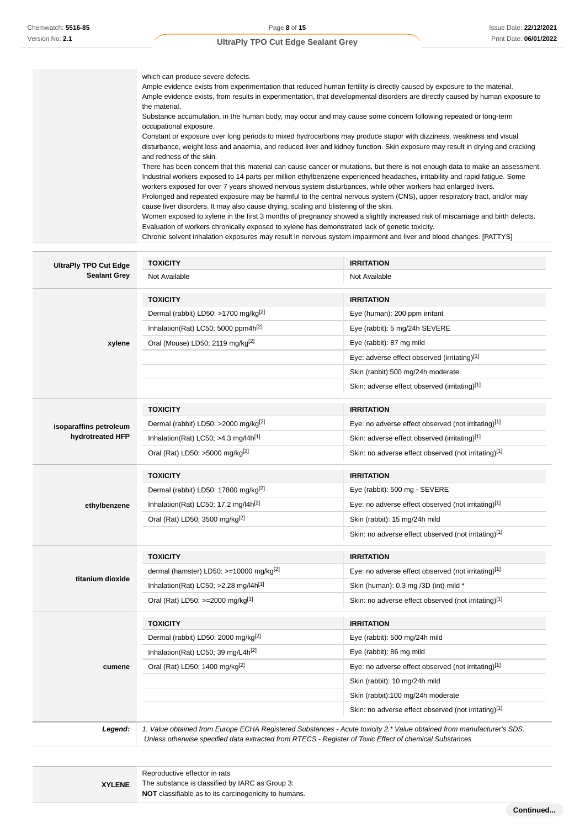which can produce severe defects. Ample evidence exists from experimentation that reduced human fertility is directly caused by exposure to the material. Ample evidence exists, from results in experimentation, that developmental disorders are directly caused by human exposure to the material. Substance accumulation, in the human body, may occur and may cause some concern following repeated or long-term occupational exposure. Constant or exposure over long periods to mixed hydrocarbons may produce stupor with dizziness, weakness and visual disturbance, weight loss and anaemia, and reduced liver and kidney function. Skin exposure may result in drying and cracking

and redness of the skin. There has been concern that this material can cause cancer or mutations, but there is not enough data to make an assessment. Industrial workers exposed to 14 parts per million ethylbenzene experienced headaches, irritability and rapid fatigue. Some workers exposed for over 7 years showed nervous system disturbances, while other workers had enlarged livers. Prolonged and repeated exposure may be harmful to the central nervous system (CNS), upper respiratory tract, and/or may cause liver disorders. It may also cause drying, scaling and blistering of the skin.

Women exposed to xylene in the first 3 months of pregnancy showed a slightly increased risk of miscarriage and birth defects. Evaluation of workers chronically exposed to xylene has demonstrated lack of genetic toxicity. Chronic solvent inhalation exposures may result in nervous system impairment and liver and blood changes. [PATTYS]

**UltraPly TPO Cut Edge Sealant Grey TOXICITY IRRITATION** Not Available Not Available **xylene TOXICITY IRRITATION** Dermal (rabbit) LD50: >1700 mg/kg[2] Eye (human): 200 ppm irritant Inhalation(Rat) LC50; 5000 ppm4h<sup>[2]</sup> exercise Eye (rabbit): 5 mg/24h SEVERE Oral (Mouse) LD50; 2119 mg/kg<sup>[2]</sup> example and the US Eye (rabbit): 87 mg mild Eye: adverse effect observed (irritating)[1] Skin (rabbit):500 mg/24h moderate Skin: adverse effect observed (irritating)<sup>[1]</sup> **isoparaffins petroleum hydrotreated HFP TOXICITY IRRITATION** Dermal (rabbit) LD50: >2000 mg/kg<sup>[2]</sup> execution by Eye: no adverse effect observed (not irritating)<sup>[1]</sup> Inhalation(Rat) LC50; >4.3 mg/l4h<sup>[1]</sup> Skin: adverse effect observed (irritating)<sup>[1]</sup> Oral (Rat) LD50; >5000 mg/kg<sup>[2]</sup> Skin: no adverse effect observed (not irritating)<sup>[1]</sup> **ethylbenzene TOXICITY IRRITATION** Dermal (rabbit) LD50: 17800 mg/kg<sup>[2]</sup> Eye (rabbit): 500 mg - SEVERE Inhalation(Rat) LC50; 17.2 mg/l4h<sup>[2]</sup> Eye: no adverse effect observed (not irritating)<sup>[1]</sup> Oral (Rat) LD50; 3500 mg/kg<sup>[2]</sup> Skin (rabbit): 15 mg/24h mild Skin: no adverse effect observed (not irritating)<sup>[1]</sup> **titanium dioxide TOXICITY IRRITATION** dermal (hamster) LD50: >=10000 mg/kg<sup>[2]</sup> Eye: no adverse effect observed (not irritating)<sup>[1]</sup> Inhalation(Rat) LC50; >2.28 mg/l4h<sup>[1]</sup> Skin (human): 0.3 mg /3D (int)-mild \* Oral (Rat) LD50; >=2000 mg/kg<sup>[1]</sup> Skin: no adverse effect observed (not irritating)<sup>[1]</sup> **cumene TOXICITY IRRITATION** Dermal (rabbit) LD50: 2000 mg/kg<sup>[2]</sup> example a series of the USD example 24h mild Inhalation(Rat) LC50; 39 mg/L4h<sup>[2]</sup> Eye (rabbit): 86 mg mild Oral (Rat) LD50; 1400 mg/kg<sup>[2]</sup> Eye: no adverse effect observed (not irritating)<sup>[1]</sup> Skin (rabbit): 10 mg/24h mild Skin (rabbit):100 mg/24h moderate Skin: no adverse effect observed (not irritating)<sup>[1]</sup> **Legend:** 1. Value obtained from Europe ECHA Registered Substances - Acute toxicity 2.\* Value obtained from manufacturer's SDS. Unless otherwise specified data extracted from RTECS - Register of Toxic Effect of chemical Substances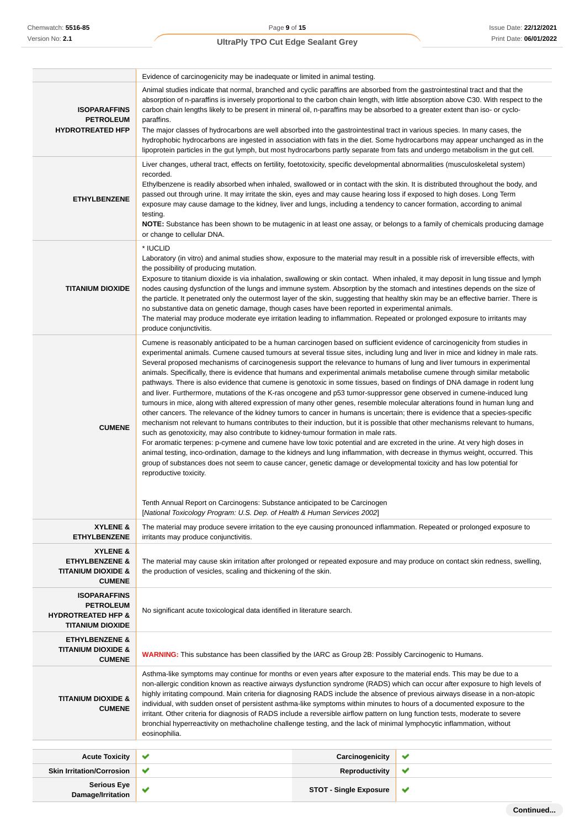|                                                                                                     | Evidence of carcinogenicity may be inadequate or limited in animal testing.                                                                                                                                                                                                                                                                                                                                                                                                                                                                                                                                                                                                                                                                                                                                                                                                                                                                                                                                                                                                                                                                                                                                                                                                                                                                                                                                                                                                                                                                                                                                                                                                                                                                                  |                                                                                                                                                                                                                                                                                                                                                                                                                                                                                                                                                                                                                                                                                                                                                                               |  |  |
|-----------------------------------------------------------------------------------------------------|--------------------------------------------------------------------------------------------------------------------------------------------------------------------------------------------------------------------------------------------------------------------------------------------------------------------------------------------------------------------------------------------------------------------------------------------------------------------------------------------------------------------------------------------------------------------------------------------------------------------------------------------------------------------------------------------------------------------------------------------------------------------------------------------------------------------------------------------------------------------------------------------------------------------------------------------------------------------------------------------------------------------------------------------------------------------------------------------------------------------------------------------------------------------------------------------------------------------------------------------------------------------------------------------------------------------------------------------------------------------------------------------------------------------------------------------------------------------------------------------------------------------------------------------------------------------------------------------------------------------------------------------------------------------------------------------------------------------------------------------------------------|-------------------------------------------------------------------------------------------------------------------------------------------------------------------------------------------------------------------------------------------------------------------------------------------------------------------------------------------------------------------------------------------------------------------------------------------------------------------------------------------------------------------------------------------------------------------------------------------------------------------------------------------------------------------------------------------------------------------------------------------------------------------------------|--|--|
| <b>ISOPARAFFINS</b><br><b>PETROLEUM</b><br><b>HYDROTREATED HFP</b>                                  | Animal studies indicate that normal, branched and cyclic paraffins are absorbed from the gastrointestinal tract and that the<br>absorption of n-paraffins is inversely proportional to the carbon chain length, with little absorption above C30. With respect to the<br>carbon chain lengths likely to be present in mineral oil, n-paraffins may be absorbed to a greater extent than iso- or cyclo-<br>paraffins.<br>The major classes of hydrocarbons are well absorbed into the gastrointestinal tract in various species. In many cases, the<br>hydrophobic hydrocarbons are ingested in association with fats in the diet. Some hydrocarbons may appear unchanged as in the<br>lipoprotein particles in the gut lymph, but most hydrocarbons partly separate from fats and undergo metabolism in the gut cell.                                                                                                                                                                                                                                                                                                                                                                                                                                                                                                                                                                                                                                                                                                                                                                                                                                                                                                                                        |                                                                                                                                                                                                                                                                                                                                                                                                                                                                                                                                                                                                                                                                                                                                                                               |  |  |
| <b>ETHYLBENZENE</b>                                                                                 | Liver changes, utheral tract, effects on fertility, foetotoxicity, specific developmental abnormalities (musculoskeletal system)<br>recorded.<br>Ethylbenzene is readily absorbed when inhaled, swallowed or in contact with the skin. It is distributed throughout the body, and<br>passed out through urine. It may irritate the skin, eyes and may cause hearing loss if exposed to high doses. Long Term<br>exposure may cause damage to the kidney, liver and lungs, including a tendency to cancer formation, according to animal<br>testing.<br>NOTE: Substance has been shown to be mutagenic in at least one assay, or belongs to a family of chemicals producing damage<br>or change to cellular DNA.                                                                                                                                                                                                                                                                                                                                                                                                                                                                                                                                                                                                                                                                                                                                                                                                                                                                                                                                                                                                                                              |                                                                                                                                                                                                                                                                                                                                                                                                                                                                                                                                                                                                                                                                                                                                                                               |  |  |
| <b>TITANIUM DIOXIDE</b>                                                                             | * IUCLID<br>the possibility of producing mutation.<br>produce conjunctivitis.                                                                                                                                                                                                                                                                                                                                                                                                                                                                                                                                                                                                                                                                                                                                                                                                                                                                                                                                                                                                                                                                                                                                                                                                                                                                                                                                                                                                                                                                                                                                                                                                                                                                                | Laboratory (in vitro) and animal studies show, exposure to the material may result in a possible risk of irreversible effects, with<br>Exposure to titanium dioxide is via inhalation, swallowing or skin contact. When inhaled, it may deposit in lung tissue and lymph<br>nodes causing dysfunction of the lungs and immune system. Absorption by the stomach and intestines depends on the size of<br>the particle. It penetrated only the outermost layer of the skin, suggesting that healthy skin may be an effective barrier. There is<br>no substantive data on genetic damage, though cases have been reported in experimental animals.<br>The material may produce moderate eye irritation leading to inflammation. Repeated or prolonged exposure to irritants may |  |  |
| <b>CUMENE</b>                                                                                       | Cumene is reasonably anticipated to be a human carcinogen based on sufficient evidence of carcinogenicity from studies in<br>experimental animals. Cumene caused tumours at several tissue sites, including lung and liver in mice and kidney in male rats.<br>Several proposed mechanisms of carcinogenesis support the relevance to humans of lung and liver tumours in experimental<br>animals. Specifically, there is evidence that humans and experimental animals metabolise cumene through similar metabolic<br>pathways. There is also evidence that cumene is genotoxic in some tissues, based on findings of DNA damage in rodent lung<br>and liver. Furthermore, mutations of the K-ras oncogene and p53 tumor-suppressor gene observed in cumene-induced lung<br>tumours in mice, along with altered expression of many other genes, resemble molecular alterations found in human lung and<br>other cancers. The relevance of the kidney tumors to cancer in humans is uncertain; there is evidence that a species-specific<br>mechanism not relevant to humans contributes to their induction, but it is possible that other mechanisms relevant to humans,<br>such as genotoxicity, may also contribute to kidney-tumour formation in male rats.<br>For aromatic terpenes: p-cymene and cumene have low toxic potential and are excreted in the urine. At very high doses in<br>animal testing, inco-ordination, damage to the kidneys and lung inflammation, with decrease in thymus weight, occurred. This<br>group of substances does not seem to cause cancer, genetic damage or developmental toxicity and has low potential for<br>reproductive toxicity.<br>Tenth Annual Report on Carcinogens: Substance anticipated to be Carcinogen |                                                                                                                                                                                                                                                                                                                                                                                                                                                                                                                                                                                                                                                                                                                                                                               |  |  |
| XYLENE &<br><b>ETHYLBENZENE</b>                                                                     | [National Toxicology Program: U.S. Dep. of Health & Human Services 2002]<br>The material may produce severe irritation to the eye causing pronounced inflammation. Repeated or prolonged exposure to<br>irritants may produce conjunctivitis.                                                                                                                                                                                                                                                                                                                                                                                                                                                                                                                                                                                                                                                                                                                                                                                                                                                                                                                                                                                                                                                                                                                                                                                                                                                                                                                                                                                                                                                                                                                |                                                                                                                                                                                                                                                                                                                                                                                                                                                                                                                                                                                                                                                                                                                                                                               |  |  |
| XYLENE &<br><b>ETHYLBENZENE &amp;</b><br><b>TITANIUM DIOXIDE &amp;</b><br><b>CUMENE</b>             | The material may cause skin irritation after prolonged or repeated exposure and may produce on contact skin redness, swelling,<br>the production of vesicles, scaling and thickening of the skin.                                                                                                                                                                                                                                                                                                                                                                                                                                                                                                                                                                                                                                                                                                                                                                                                                                                                                                                                                                                                                                                                                                                                                                                                                                                                                                                                                                                                                                                                                                                                                            |                                                                                                                                                                                                                                                                                                                                                                                                                                                                                                                                                                                                                                                                                                                                                                               |  |  |
| <b>ISOPARAFFINS</b><br><b>PETROLEUM</b><br><b>HYDROTREATED HFP &amp;</b><br><b>TITANIUM DIOXIDE</b> | No significant acute toxicological data identified in literature search.                                                                                                                                                                                                                                                                                                                                                                                                                                                                                                                                                                                                                                                                                                                                                                                                                                                                                                                                                                                                                                                                                                                                                                                                                                                                                                                                                                                                                                                                                                                                                                                                                                                                                     |                                                                                                                                                                                                                                                                                                                                                                                                                                                                                                                                                                                                                                                                                                                                                                               |  |  |
| <b>ETHYLBENZENE &amp;</b><br><b>TITANIUM DIOXIDE &amp;</b><br><b>CUMENE</b>                         | <b>WARNING:</b> This substance has been classified by the IARC as Group 2B: Possibly Carcinogenic to Humans.                                                                                                                                                                                                                                                                                                                                                                                                                                                                                                                                                                                                                                                                                                                                                                                                                                                                                                                                                                                                                                                                                                                                                                                                                                                                                                                                                                                                                                                                                                                                                                                                                                                 |                                                                                                                                                                                                                                                                                                                                                                                                                                                                                                                                                                                                                                                                                                                                                                               |  |  |
| <b>TITANIUM DIOXIDE &amp;</b><br><b>CUMENE</b>                                                      | Asthma-like symptoms may continue for months or even years after exposure to the material ends. This may be due to a<br>non-allergic condition known as reactive airways dysfunction syndrome (RADS) which can occur after exposure to high levels of<br>highly irritating compound. Main criteria for diagnosing RADS include the absence of previous airways disease in a non-atopic<br>individual, with sudden onset of persistent asthma-like symptoms within minutes to hours of a documented exposure to the<br>irritant. Other criteria for diagnosis of RADS include a reversible airflow pattern on lung function tests, moderate to severe<br>bronchial hyperreactivity on methacholine challenge testing, and the lack of minimal lymphocytic inflammation, without<br>eosinophilia.                                                                                                                                                                                                                                                                                                                                                                                                                                                                                                                                                                                                                                                                                                                                                                                                                                                                                                                                                              |                                                                                                                                                                                                                                                                                                                                                                                                                                                                                                                                                                                                                                                                                                                                                                               |  |  |
| <b>Acute Toxicity</b>                                                                               | ✔<br>Carcinogenicity                                                                                                                                                                                                                                                                                                                                                                                                                                                                                                                                                                                                                                                                                                                                                                                                                                                                                                                                                                                                                                                                                                                                                                                                                                                                                                                                                                                                                                                                                                                                                                                                                                                                                                                                         | ✔                                                                                                                                                                                                                                                                                                                                                                                                                                                                                                                                                                                                                                                                                                                                                                             |  |  |
| <b>Skin Irritation/Corrosion</b>                                                                    | Reproductivity<br>✔                                                                                                                                                                                                                                                                                                                                                                                                                                                                                                                                                                                                                                                                                                                                                                                                                                                                                                                                                                                                                                                                                                                                                                                                                                                                                                                                                                                                                                                                                                                                                                                                                                                                                                                                          | ✔                                                                                                                                                                                                                                                                                                                                                                                                                                                                                                                                                                                                                                                                                                                                                                             |  |  |
| <b>Serious Eye</b><br>Damage/Irritation                                                             | ✔<br><b>STOT - Single Exposure</b>                                                                                                                                                                                                                                                                                                                                                                                                                                                                                                                                                                                                                                                                                                                                                                                                                                                                                                                                                                                                                                                                                                                                                                                                                                                                                                                                                                                                                                                                                                                                                                                                                                                                                                                           | ✔                                                                                                                                                                                                                                                                                                                                                                                                                                                                                                                                                                                                                                                                                                                                                                             |  |  |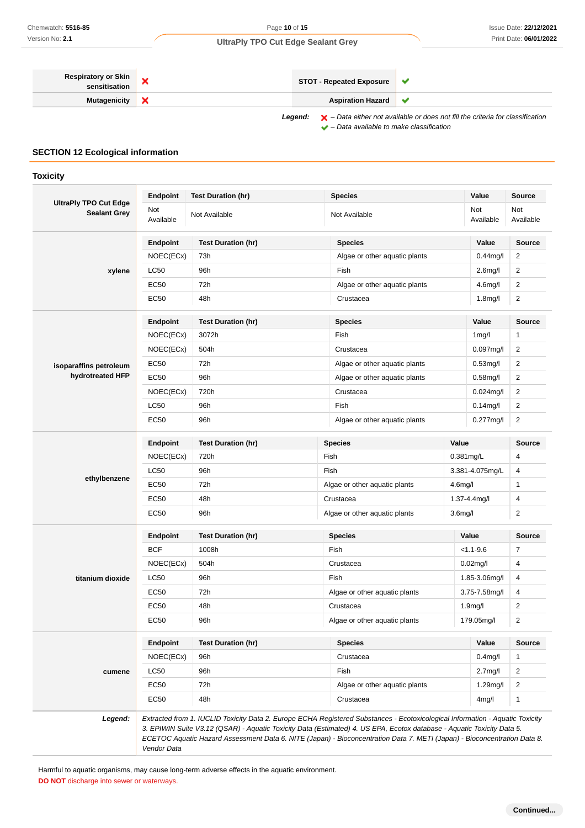| <b>Respiratory or Skin</b> |  | <b>STOT - Repeated Exposure</b> |  |
|----------------------------|--|---------------------------------|--|
| <b>Mutagenicity</b>        |  | <b>Aspiration Hazard</b>        |  |
|                            |  |                                 |  |

Legend:  $\blacktriangleright$  - Data either not available or does not fill the criteria for classification  $\blacktriangleright$  – Data available to make classification

# **SECTION 12 Ecological information**

**Toxicity**

|                                                     | <b>Endpoint</b>  | <b>Test Duration (hr)</b> | <b>Species</b>                                                                                                                                                                                                                                                                                                                                                                      |                      | Value                | Source           |
|-----------------------------------------------------|------------------|---------------------------|-------------------------------------------------------------------------------------------------------------------------------------------------------------------------------------------------------------------------------------------------------------------------------------------------------------------------------------------------------------------------------------|----------------------|----------------------|------------------|
| <b>UltraPly TPO Cut Edge</b><br><b>Sealant Grey</b> | Not<br>Available | Not Available             | Not Available                                                                                                                                                                                                                                                                                                                                                                       |                      | Not<br>Available     | Not<br>Available |
|                                                     | <b>Endpoint</b>  | <b>Test Duration (hr)</b> | <b>Species</b>                                                                                                                                                                                                                                                                                                                                                                      |                      | Value                | <b>Source</b>    |
|                                                     | NOEC(ECx)        | 73h                       | Algae or other aquatic plants                                                                                                                                                                                                                                                                                                                                                       |                      | $0.44$ mg/l          | $\overline{2}$   |
| xylene                                              | <b>LC50</b>      | 96h                       | Fish                                                                                                                                                                                                                                                                                                                                                                                |                      | 2.6 <sub>mg</sub> /l | $\overline{2}$   |
|                                                     | <b>EC50</b>      | 72h                       | Algae or other aquatic plants                                                                                                                                                                                                                                                                                                                                                       |                      | 4.6 <sub>mg</sub> /l | $\overline{2}$   |
|                                                     | EC50             | 48h                       | Crustacea                                                                                                                                                                                                                                                                                                                                                                           |                      | 1.8 <sub>mg</sub> /l | $\overline{2}$   |
|                                                     | <b>Endpoint</b>  | <b>Test Duration (hr)</b> | <b>Species</b>                                                                                                                                                                                                                                                                                                                                                                      |                      | Value                | Source           |
|                                                     | NOEC(ECx)        | 3072h                     | Fish                                                                                                                                                                                                                                                                                                                                                                                |                      | 1 <sub>mg</sub> /l   | $\mathbf{1}$     |
|                                                     | NOEC(ECx)        | 504h                      | Crustacea                                                                                                                                                                                                                                                                                                                                                                           |                      | $0.097$ mg/l         | $\overline{2}$   |
| isoparaffins petroleum                              | EC50             | 72h                       | Algae or other aquatic plants                                                                                                                                                                                                                                                                                                                                                       |                      | $0.53$ mg/l          | 2                |
| hydrotreated HFP                                    | <b>EC50</b>      | 96h                       | Algae or other aquatic plants                                                                                                                                                                                                                                                                                                                                                       |                      | $0.58$ mg/l          | $\overline{2}$   |
|                                                     | NOEC(ECx)        | 720h                      | Crustacea                                                                                                                                                                                                                                                                                                                                                                           |                      | $0.024$ mg/l         | $\overline{2}$   |
|                                                     | <b>LC50</b>      | 96h                       | Fish                                                                                                                                                                                                                                                                                                                                                                                |                      | $0.14$ mg/l          | $\overline{2}$   |
|                                                     | <b>EC50</b>      | 96h                       | Algae or other aquatic plants                                                                                                                                                                                                                                                                                                                                                       |                      | $0.277$ mg/l         | $\overline{2}$   |
|                                                     | Endpoint         | <b>Test Duration (hr)</b> | <b>Species</b>                                                                                                                                                                                                                                                                                                                                                                      | Value                |                      | <b>Source</b>    |
|                                                     | NOEC(ECx)        | 720h                      | Fish                                                                                                                                                                                                                                                                                                                                                                                |                      | 0.381mg/L            | 4                |
|                                                     | <b>LC50</b>      | 96h                       | Fish                                                                                                                                                                                                                                                                                                                                                                                |                      | 3.381-4.075mg/L      | 4                |
| ethylbenzene                                        | <b>EC50</b>      | 72h                       | Algae or other aquatic plants                                                                                                                                                                                                                                                                                                                                                       | 4.6 <sub>m</sub> g/l |                      | 1                |
|                                                     | EC50             | 48h                       | Crustacea                                                                                                                                                                                                                                                                                                                                                                           |                      | 1.37-4.4mg/l         | 4                |
|                                                     | <b>EC50</b>      | 96h                       | Algae or other aquatic plants                                                                                                                                                                                                                                                                                                                                                       | 3.6 <sub>m</sub> g/l |                      | $\overline{c}$   |
|                                                     | <b>Endpoint</b>  | <b>Test Duration (hr)</b> | <b>Species</b>                                                                                                                                                                                                                                                                                                                                                                      |                      | Value                | <b>Source</b>    |
|                                                     | <b>BCF</b>       | 1008h                     | Fish                                                                                                                                                                                                                                                                                                                                                                                |                      | $< 1.1 - 9.6$        | 7                |
|                                                     | NOEC(ECx)        | 504h                      | Crustacea                                                                                                                                                                                                                                                                                                                                                                           |                      | $0.02$ mg/l          | 4                |
| titanium dioxide                                    | <b>LC50</b>      | 96h                       | Fish                                                                                                                                                                                                                                                                                                                                                                                |                      | 1.85-3.06mg/l        | 4                |
|                                                     | <b>EC50</b>      | 72h                       | Algae or other aquatic plants                                                                                                                                                                                                                                                                                                                                                       |                      | 3.75-7.58mg/l        | 4                |
|                                                     | <b>EC50</b>      | 48h                       | Crustacea                                                                                                                                                                                                                                                                                                                                                                           |                      | 1.9 <sub>mg</sub> /l | $\overline{2}$   |
|                                                     | <b>EC50</b>      | 96h                       | Algae or other aquatic plants                                                                                                                                                                                                                                                                                                                                                       |                      | 179.05mg/l           | $\overline{c}$   |
|                                                     | <b>Endpoint</b>  | <b>Test Duration (hr)</b> | <b>Species</b>                                                                                                                                                                                                                                                                                                                                                                      |                      | Value                | Source           |
|                                                     | NOEC(ECx)        | 96h                       | Crustacea                                                                                                                                                                                                                                                                                                                                                                           |                      | $0.4$ mg/l           | $\mathbf{1}$     |
| cumene                                              | <b>LC50</b>      | 96h                       | Fish                                                                                                                                                                                                                                                                                                                                                                                |                      | 2.7 <sub>mg</sub> /l | $\overline{2}$   |
|                                                     | <b>EC50</b>      | 72h                       | Algae or other aquatic plants                                                                                                                                                                                                                                                                                                                                                       |                      | $1.29$ mg/l          | 2                |
|                                                     | <b>EC50</b>      | 48h                       | Crustacea                                                                                                                                                                                                                                                                                                                                                                           |                      | 4mg/l                | $\mathbf{1}$     |
| Legend:                                             | Vendor Data      |                           | Extracted from 1. IUCLID Toxicity Data 2. Europe ECHA Registered Substances - Ecotoxicological Information - Aquatic Toxicity<br>3. EPIWIN Suite V3.12 (QSAR) - Aquatic Toxicity Data (Estimated) 4. US EPA, Ecotox database - Aquatic Toxicity Data 5.<br>ECETOC Aquatic Hazard Assessment Data 6. NITE (Japan) - Bioconcentration Data 7. METI (Japan) - Bioconcentration Data 8. |                      |                      |                  |

Harmful to aquatic organisms, may cause long-term adverse effects in the aquatic environment. **DO NOT** discharge into sewer or waterways.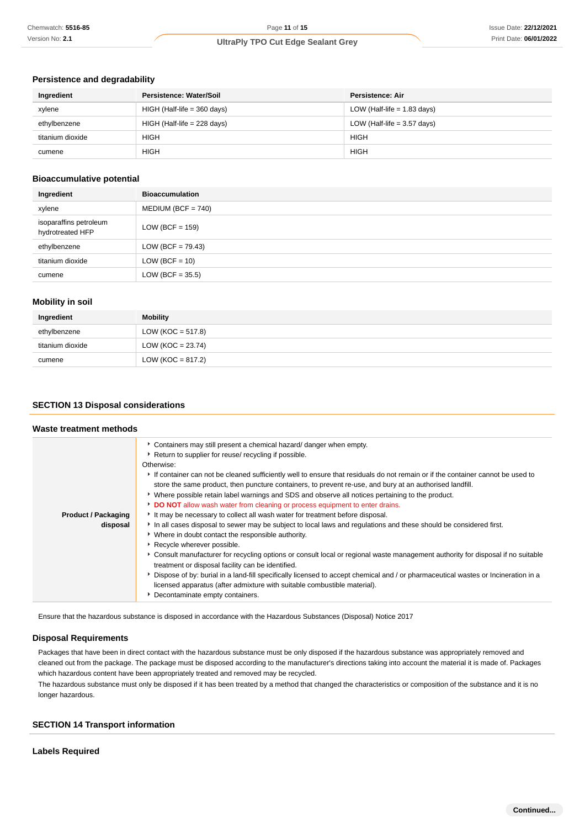### **Persistence and degradability**

| Ingredient       | Persistence: Water/Soil       | Persistence: Air              |
|------------------|-------------------------------|-------------------------------|
| xylene           | $HIGH$ (Half-life = 360 days) | LOW (Half-life $= 1.83$ days) |
| ethylbenzene     | $HIGH$ (Half-life = 228 days) | LOW (Half-life $=$ 3.57 days) |
| titanium dioxide | <b>HIGH</b>                   | <b>HIGH</b>                   |
| cumene           | <b>HIGH</b>                   | <b>HIGH</b>                   |

### **Bioaccumulative potential**

| Ingredient                                 | <b>Bioaccumulation</b> |
|--------------------------------------------|------------------------|
| xylene                                     | $MEDIUM (BCF = 740)$   |
| isoparaffins petroleum<br>hydrotreated HFP | LOW (BCF = $159$ )     |
| ethylbenzene                               | $LOW (BCF = 79.43)$    |
| titanium dioxide                           | LOW (BCF = $10$ )      |
| cumene                                     | LOW (BCF = $35.5$ )    |

### **Mobility in soil**

| Ingredient       | Mobility             |
|------------------|----------------------|
| ethylbenzene     | LOW (KOC = $517.8$ ) |
| titanium dioxide | LOW (KOC = $23.74$ ) |
| cumene           | $LOW (KOC = 817.2)$  |

### **SECTION 13 Disposal considerations**

### **Waste treatment methods**

|                            | • Containers may still present a chemical hazard/ danger when empty.                                                                                                                |
|----------------------------|-------------------------------------------------------------------------------------------------------------------------------------------------------------------------------------|
|                            | ▶ Return to supplier for reuse/ recycling if possible.                                                                                                                              |
|                            | Otherwise:                                                                                                                                                                          |
|                            | If container can not be cleaned sufficiently well to ensure that residuals do not remain or if the container cannot be used to                                                      |
|                            | store the same product, then puncture containers, to prevent re-use, and bury at an authorised landfill.                                                                            |
|                            | ► Where possible retain label warnings and SDS and observe all notices pertaining to the product.                                                                                   |
|                            | DO NOT allow wash water from cleaning or process equipment to enter drains.                                                                                                         |
| <b>Product / Packaging</b> | It may be necessary to collect all wash water for treatment before disposal.                                                                                                        |
| disposal                   | In all cases disposal to sewer may be subject to local laws and regulations and these should be considered first.                                                                   |
|                            | * Where in doubt contact the responsible authority.                                                                                                                                 |
|                            | Recycle wherever possible.                                                                                                                                                          |
|                            | Consult manufacturer for recycling options or consult local or regional waste management authority for disposal if no suitable<br>treatment or disposal facility can be identified. |
|                            | Dispose of by: burial in a land-fill specifically licensed to accept chemical and / or pharmaceutical wastes or Incineration in a                                                   |
|                            |                                                                                                                                                                                     |
|                            | licensed apparatus (after admixture with suitable combustible material).                                                                                                            |
|                            | Decontaminate empty containers.                                                                                                                                                     |

Ensure that the hazardous substance is disposed in accordance with the Hazardous Substances (Disposal) Notice 2017

#### **Disposal Requirements**

Packages that have been in direct contact with the hazardous substance must be only disposed if the hazardous substance was appropriately removed and cleaned out from the package. The package must be disposed according to the manufacturer's directions taking into account the material it is made of. Packages which hazardous content have been appropriately treated and removed may be recycled. The hazardous substance must only be disposed if it has been treated by a method that changed the characteristics or composition of the substance and it is no

longer hazardous.

#### **SECTION 14 Transport information**

### **Labels Required**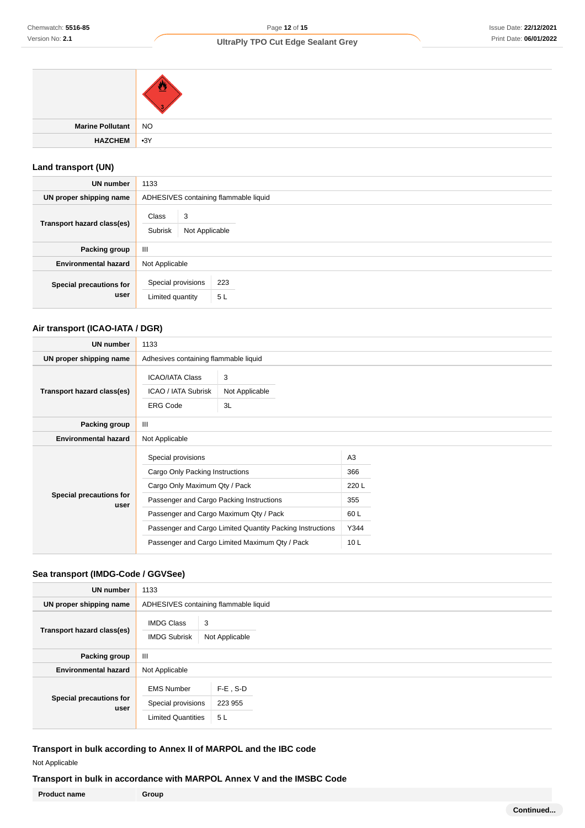| Marine Pollutant NO |  |
|---------------------|--|
| HAZCHEM 3Y          |  |

# **Land transport (UN)**

| <b>UN number</b>                | 1133                                   |                                       |           |  |
|---------------------------------|----------------------------------------|---------------------------------------|-----------|--|
| UN proper shipping name         |                                        | ADHESIVES containing flammable liquid |           |  |
| Transport hazard class(es)      | Class<br>Subrisk                       | 3<br>Not Applicable                   |           |  |
| Packing group                   | $\mathbf{III}$                         |                                       |           |  |
| <b>Environmental hazard</b>     | Not Applicable                         |                                       |           |  |
| Special precautions for<br>user | Special provisions<br>Limited quantity |                                       | 223<br>5L |  |

# **Air transport (ICAO-IATA / DGR)**

| <b>UN number</b>                | 1133                                                                                                                                                                         |                                                                                                             |                                                                         |  |
|---------------------------------|------------------------------------------------------------------------------------------------------------------------------------------------------------------------------|-------------------------------------------------------------------------------------------------------------|-------------------------------------------------------------------------|--|
| UN proper shipping name         | Adhesives containing flammable liquid                                                                                                                                        |                                                                                                             |                                                                         |  |
| Transport hazard class(es)      | <b>ICAO/IATA Class</b><br>ICAO / IATA Subrisk<br><b>ERG Code</b>                                                                                                             | 3<br>Not Applicable<br>3L                                                                                   |                                                                         |  |
| Packing group                   | Ш                                                                                                                                                                            |                                                                                                             |                                                                         |  |
| <b>Environmental hazard</b>     | Not Applicable                                                                                                                                                               |                                                                                                             |                                                                         |  |
| Special precautions for<br>user | Special provisions<br>Cargo Only Packing Instructions<br>Cargo Only Maximum Qty / Pack<br>Passenger and Cargo Packing Instructions<br>Passenger and Cargo Maximum Qty / Pack | Passenger and Cargo Limited Quantity Packing Instructions<br>Passenger and Cargo Limited Maximum Qty / Pack | A <sub>3</sub><br>366<br>220L<br>355<br>60 L<br>Y344<br>10 <sub>L</sub> |  |

# **Sea transport (IMDG-Code / GGVSee)**

| <b>UN number</b>                       | 1133                                                                 |                              |
|----------------------------------------|----------------------------------------------------------------------|------------------------------|
| UN proper shipping name                | ADHESIVES containing flammable liquid                                |                              |
| Transport hazard class(es)             | <b>IMDG Class</b><br>3<br><b>IMDG Subrisk</b>                        | Not Applicable               |
| Packing group                          | Ш                                                                    |                              |
| <b>Environmental hazard</b>            | Not Applicable                                                       |                              |
| <b>Special precautions for</b><br>user | <b>EMS Number</b><br>Special provisions<br><b>Limited Quantities</b> | $F-E$ , S-D<br>223 955<br>5L |

**Transport in bulk according to Annex II of MARPOL and the IBC code**

Not Applicable

**Transport in bulk in accordance with MARPOL Annex V and the IMSBC Code**

**Product name Group**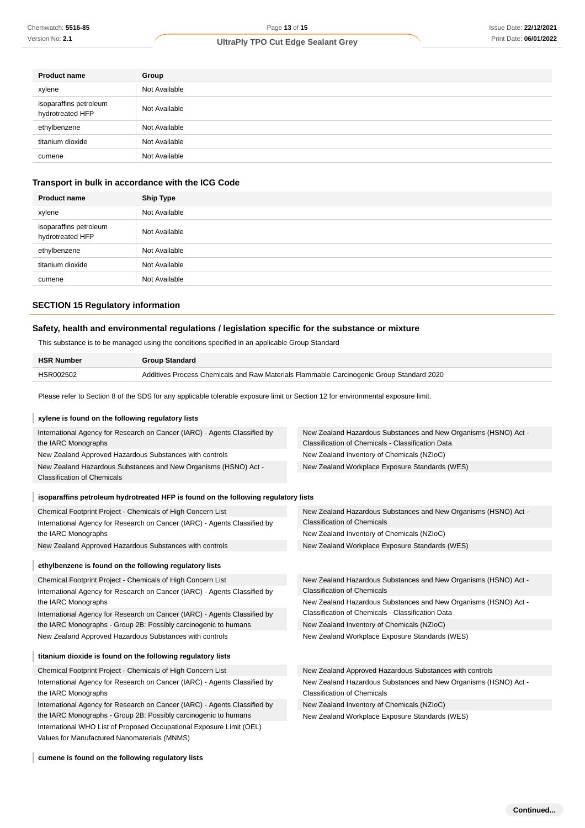| <b>Product name</b>                        | Group         |
|--------------------------------------------|---------------|
| xylene                                     | Not Available |
| isoparaffins petroleum<br>hydrotreated HFP | Not Available |
| ethylbenzene                               | Not Available |
| titanium dioxide                           | Not Available |
| cumene                                     | Not Available |

# **Transport in bulk in accordance with the ICG Code**

| <b>Product name</b>                        | <b>Ship Type</b> |
|--------------------------------------------|------------------|
| xylene                                     | Not Available    |
| isoparaffins petroleum<br>hydrotreated HFP | Not Available    |
| ethylbenzene                               | Not Available    |
| titanium dioxide                           | Not Available    |
| cumene                                     | Not Available    |

### **SECTION 15 Regulatory information**

### **Safety, health and environmental regulations / legislation specific for the substance or mixture**

| <b>HSR Number</b> | <b>Group Standard</b>                                                                    |
|-------------------|------------------------------------------------------------------------------------------|
| HSR002502         | Additives Process Chemicals and Raw Materials Flammable Carcinogenic Group Standard 2020 |

| Chemwatch: 5516-85                                                        |                                                                                                                                  | Page 13 of 15                                                                                                        | <b>Issue Date: 22/12/2</b> |
|---------------------------------------------------------------------------|----------------------------------------------------------------------------------------------------------------------------------|----------------------------------------------------------------------------------------------------------------------|----------------------------|
| Version No: 2.1                                                           |                                                                                                                                  | <b>UltraPly TPO Cut Edge Sealant Grey</b>                                                                            | Print Date: 06/01/2        |
|                                                                           |                                                                                                                                  |                                                                                                                      |                            |
| <b>Product name</b>                                                       | Group                                                                                                                            |                                                                                                                      |                            |
| xylene                                                                    | Not Available                                                                                                                    |                                                                                                                      |                            |
| isoparaffins petroleum<br>hydrotreated HFP                                | Not Available                                                                                                                    |                                                                                                                      |                            |
| ethylbenzene                                                              | Not Available                                                                                                                    |                                                                                                                      |                            |
| titanium dioxide                                                          | Not Available                                                                                                                    |                                                                                                                      |                            |
| cumene                                                                    | Not Available                                                                                                                    |                                                                                                                      |                            |
|                                                                           | Transport in bulk in accordance with the ICG Code                                                                                |                                                                                                                      |                            |
| <b>Product name</b>                                                       | <b>Ship Type</b>                                                                                                                 |                                                                                                                      |                            |
| xylene                                                                    | Not Available                                                                                                                    |                                                                                                                      |                            |
| isoparaffins petroleum<br>hydrotreated HFP                                | Not Available                                                                                                                    |                                                                                                                      |                            |
| ethylbenzene                                                              | Not Available                                                                                                                    |                                                                                                                      |                            |
| titanium dioxide                                                          | Not Available                                                                                                                    |                                                                                                                      |                            |
| cumene                                                                    | Not Available                                                                                                                    |                                                                                                                      |                            |
| <b>SECTION 15 Regulatory information</b>                                  |                                                                                                                                  |                                                                                                                      |                            |
|                                                                           |                                                                                                                                  |                                                                                                                      |                            |
|                                                                           | Safety, health and environmental regulations / legislation specific for the substance or mixture                                 |                                                                                                                      |                            |
|                                                                           | This substance is to be managed using the conditions specified in an applicable Group Standard                                   |                                                                                                                      |                            |
| <b>HSR Number</b>                                                         | <b>Group Standard</b>                                                                                                            |                                                                                                                      |                            |
| HSR002502                                                                 |                                                                                                                                  | Additives Process Chemicals and Raw Materials Flammable Carcinogenic Group Standard 2020                             |                            |
|                                                                           | Please refer to Section 8 of the SDS for any applicable tolerable exposure limit or Section 12 for environmental exposure limit. |                                                                                                                      |                            |
| xylene is found on the following regulatory lists                         |                                                                                                                                  |                                                                                                                      |                            |
| the IARC Monographs                                                       | International Agency for Research on Cancer (IARC) - Agents Classified by                                                        | New Zealand Hazardous Substances and New Organisms (HSNO) Act -<br>Classification of Chemicals - Classification Data |                            |
|                                                                           | New Zealand Approved Hazardous Substances with controls                                                                          | New Zealand Inventory of Chemicals (NZIoC)                                                                           |                            |
| <b>Classification of Chemicals</b>                                        | New Zealand Hazardous Substances and New Organisms (HSNO) Act -                                                                  | New Zealand Workplace Exposure Standards (WES)                                                                       |                            |
|                                                                           | isoparaffins petroleum hydrotreated HFP is found on the following regulatory lists                                               |                                                                                                                      |                            |
|                                                                           | Chemical Footprint Project - Chemicals of High Concern List                                                                      | New Zealand Hazardous Substances and New Organisms (HSNO) Act -                                                      |                            |
|                                                                           | International Agency for Research on Cancer (IARC) - Agents Classified by                                                        | <b>Classification of Chemicals</b>                                                                                   |                            |
| the IARC Monographs                                                       | New Zealand Approved Hazardous Substances with controls                                                                          | New Zealand Inventory of Chemicals (NZIoC)<br>New Zealand Workplace Exposure Standards (WES)                         |                            |
|                                                                           |                                                                                                                                  |                                                                                                                      |                            |
|                                                                           | ethylbenzene is found on the following regulatory lists                                                                          |                                                                                                                      |                            |
|                                                                           | Chemical Footprint Project - Chemicals of High Concern List                                                                      | New Zealand Hazardous Substances and New Organisms (HSNO) Act -                                                      |                            |
| the IARC Monographs                                                       | International Agency for Research on Cancer (IARC) - Agents Classified by                                                        | <b>Classification of Chemicals</b><br>New Zealand Hazardous Substances and New Organisms (HSNO) Act -                |                            |
| International Agency for Research on Cancer (IARC) - Agents Classified by |                                                                                                                                  | Classification of Chemicals - Classification Data                                                                    |                            |
| the IARC Monographs - Group 2B: Possibly carcinogenic to humans           |                                                                                                                                  | New Zealand Inventory of Chemicals (NZIoC)                                                                           |                            |
|                                                                           | New Zealand Approved Hazardous Substances with controls                                                                          | New Zealand Workplace Exposure Standards (WES)                                                                       |                            |
|                                                                           | titanium dioxide is found on the following regulatory lists                                                                      |                                                                                                                      |                            |
|                                                                           | Chemical Footprint Project - Chemicals of High Concern List                                                                      | New Zealand Approved Hazardous Substances with controls                                                              |                            |
|                                                                           | International Agency for Research on Cancer (IARC) - Agents Classified by                                                        | New Zealand Hazardous Substances and New Organisms (HSNO) Act -                                                      |                            |
| the IARC Monographs                                                       | International Agency for Research on Cancer (IARC) - Agents Classified by                                                        | <b>Classification of Chemicals</b><br>New Zealand Inventory of Chemicals (NZIoC)                                     |                            |
|                                                                           | the IARC Monographs - Group 2B: Possibly carcinogenic to humans                                                                  | New Zealand Workplace Exposure Standards (WES)                                                                       |                            |
| Values for Manufactured Nanomaterials (MNMS)                              | International WHO List of Proposed Occupational Exposure Limit (OEL)                                                             |                                                                                                                      |                            |
| cumene is found on the following regulatory lists                         |                                                                                                                                  |                                                                                                                      |                            |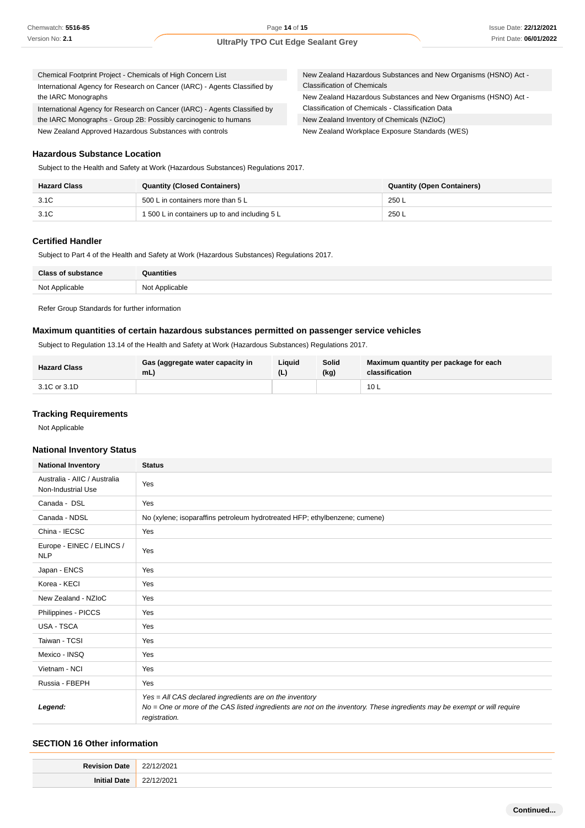| Chemical Footprint Project - Chemicals of High Concern List               | New Zealand Hazardous Substances and New Organisms (HSNO) Act - |
|---------------------------------------------------------------------------|-----------------------------------------------------------------|
| International Agency for Research on Cancer (IARC) - Agents Classified by | <b>Classification of Chemicals</b>                              |
| the IARC Monographs                                                       | New Zealand Hazardous Substances and New Organisms (HSNO) Act - |
| International Agency for Research on Cancer (IARC) - Agents Classified by | Classification of Chemicals - Classification Data               |
| the IARC Monographs - Group 2B: Possibly carcinogenic to humans           | New Zealand Inventory of Chemicals (NZIoC)                      |
| New Zealand Approved Hazardous Substances with controls                   | New Zealand Workplace Exposure Standards (WES)                  |

#### **Hazardous Substance Location**

Subject to the Health and Safety at Work (Hazardous Substances) Regulations 2017.

| <b>Hazard Class</b> | <b>Quantity (Closed Containers)</b>           | <b>Quantity (Open Containers)</b> |
|---------------------|-----------------------------------------------|-----------------------------------|
| 3.1C                | 500 L in containers more than 5 L             | 250 L                             |
| 3.1C                | 1 500 L in containers up to and including 5 L | 250 L                             |

### **Certified Handler**

Subject to Part 4 of the Health and Safety at Work (Hazardous Substances) Regulations 2017.

| <b>Class of substance</b> | Quantities     |
|---------------------------|----------------|
| Not Applicable            | Not Applicable |

Refer Group Standards for further information

### **Maximum quantities of certain hazardous substances permitted on passenger service vehicles**

Subject to Regulation 13.14 of the Health and Safety at Work (Hazardous Substances) Regulations 2017.

| <b>Hazard Class</b> | Gas (aggregate water capacity in<br>mL | Liauid | Solid<br>(kg) | Maximum quantity per package for each<br>classification |
|---------------------|----------------------------------------|--------|---------------|---------------------------------------------------------|
| 3.1C or 3.1D        |                                        |        |               | 10L                                                     |

### **Tracking Requirements**

Not Applicable

#### **National Inventory Status**

| <b>National Inventory</b>                          | <b>Status</b>                                                                                                                                                                                        |  |  |  |
|----------------------------------------------------|------------------------------------------------------------------------------------------------------------------------------------------------------------------------------------------------------|--|--|--|
| Australia - AIIC / Australia<br>Non-Industrial Use | Yes                                                                                                                                                                                                  |  |  |  |
| Canada - DSL                                       | Yes                                                                                                                                                                                                  |  |  |  |
| Canada - NDSL                                      | No (xylene; isoparaffins petroleum hydrotreated HFP; ethylbenzene; cumene)                                                                                                                           |  |  |  |
| China - IECSC                                      | Yes                                                                                                                                                                                                  |  |  |  |
| Europe - EINEC / ELINCS /<br><b>NLP</b>            | Yes                                                                                                                                                                                                  |  |  |  |
| Japan - ENCS                                       | Yes                                                                                                                                                                                                  |  |  |  |
| Korea - KECI                                       | Yes                                                                                                                                                                                                  |  |  |  |
| New Zealand - NZIoC                                | Yes                                                                                                                                                                                                  |  |  |  |
| Philippines - PICCS                                | Yes                                                                                                                                                                                                  |  |  |  |
| <b>USA - TSCA</b>                                  | Yes                                                                                                                                                                                                  |  |  |  |
| Taiwan - TCSI                                      | Yes                                                                                                                                                                                                  |  |  |  |
| Mexico - INSQ                                      | Yes                                                                                                                                                                                                  |  |  |  |
| Vietnam - NCI                                      | Yes                                                                                                                                                                                                  |  |  |  |
| Russia - FBEPH                                     | Yes                                                                                                                                                                                                  |  |  |  |
| Legend:                                            | Yes = All CAS declared ingredients are on the inventory<br>No = One or more of the CAS listed ingredients are not on the inventory. These ingredients may be exempt or will require<br>registration. |  |  |  |

#### **SECTION 16 Other information**

| ___ |
|-----|
|     |